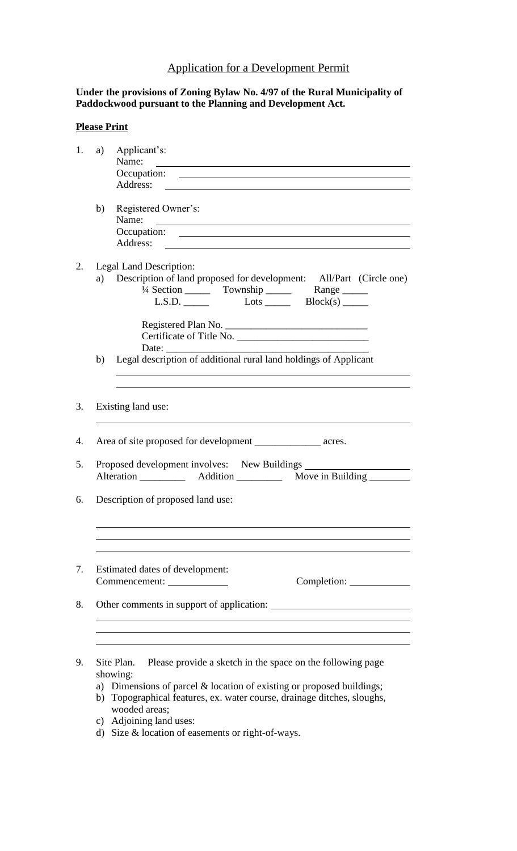## Application for a Development Permit

## **Under the provisions of Zoning Bylaw No. 4/97 of the Rural Municipality of Paddockwood pursuant to the Planning and Development Act.**

## **Please Print**

| a) | Applicant's:                                                                                                                         |  |  |  |  |
|----|--------------------------------------------------------------------------------------------------------------------------------------|--|--|--|--|
|    | Name:                                                                                                                                |  |  |  |  |
|    | Occupation:                                                                                                                          |  |  |  |  |
|    |                                                                                                                                      |  |  |  |  |
| b) | Registered Owner's:                                                                                                                  |  |  |  |  |
|    | Name:<br><u> 1980 - Johann John Stein, markin fizik eta idazleari (</u>                                                              |  |  |  |  |
|    | Occupation:<br><u> 1989 - Johann Stein, mars and de Branch and de Branch and de Branch and de Branch and de Branch and de Branch</u> |  |  |  |  |
|    | Address:                                                                                                                             |  |  |  |  |
|    | Legal Land Description:                                                                                                              |  |  |  |  |
|    | a) Description of land proposed for development: All/Part (Circle one)                                                               |  |  |  |  |
|    | <sup>1</sup> /4 Section __________ Township _____________ Range _______                                                              |  |  |  |  |
|    | L.S.D. $L$ Lots $L$ Block(s) $L$                                                                                                     |  |  |  |  |
|    |                                                                                                                                      |  |  |  |  |
|    | Certificate of Title No.                                                                                                             |  |  |  |  |
|    | Date: $\_\_$                                                                                                                         |  |  |  |  |
| b) | Legal description of additional rural land holdings of Applicant                                                                     |  |  |  |  |
|    |                                                                                                                                      |  |  |  |  |
|    |                                                                                                                                      |  |  |  |  |
|    | Existing land use:                                                                                                                   |  |  |  |  |
|    |                                                                                                                                      |  |  |  |  |
|    | Area of site proposed for development _______________________ acres.                                                                 |  |  |  |  |
|    |                                                                                                                                      |  |  |  |  |
|    | Proposed development involves: New Buildings                                                                                         |  |  |  |  |
|    |                                                                                                                                      |  |  |  |  |
|    |                                                                                                                                      |  |  |  |  |
|    | Description of proposed land use:                                                                                                    |  |  |  |  |
|    |                                                                                                                                      |  |  |  |  |
|    |                                                                                                                                      |  |  |  |  |
|    |                                                                                                                                      |  |  |  |  |
|    | Estimated dates of development:                                                                                                      |  |  |  |  |
|    |                                                                                                                                      |  |  |  |  |
|    |                                                                                                                                      |  |  |  |  |
|    | Other comments in support of application:                                                                                            |  |  |  |  |
|    |                                                                                                                                      |  |  |  |  |
|    |                                                                                                                                      |  |  |  |  |
|    |                                                                                                                                      |  |  |  |  |
|    | Please provide a sketch in the space on the following page<br>Site Plan.                                                             |  |  |  |  |
|    | showing:                                                                                                                             |  |  |  |  |
|    | a) Dimensions of parcel & location of existing or proposed buildings;                                                                |  |  |  |  |

- b) Topographical features, ex. water course, drainage ditches, sloughs, wooded areas;
- c) Adjoining land uses:
- d) Size & location of easements or right-of-ways.